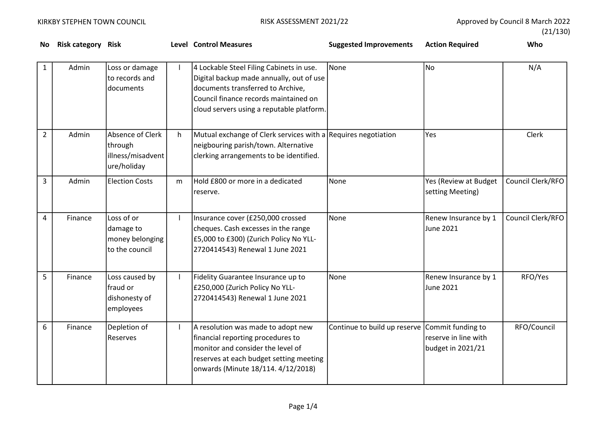No Risk category Risk **Reading Control Measures** Control Measures Cupy and Measures Suggested Improvements Action Required Who

|  | (21/130) |
|--|----------|
|--|----------|

| 1              | Admin   | Loss or damage<br>to records and<br>documents                   |    | 4 Lockable Steel Filing Cabinets in use.<br>Digital backup made annually, out of use<br>documents transferred to Archive,<br>Council finance records maintained on<br>cloud servers using a reputable platform. | None                         | <b>No</b>                                                      | N/A               |
|----------------|---------|-----------------------------------------------------------------|----|-----------------------------------------------------------------------------------------------------------------------------------------------------------------------------------------------------------------|------------------------------|----------------------------------------------------------------|-------------------|
| $\overline{2}$ | Admin   | Absence of Clerk<br>through<br>illness/misadvent<br>ure/holiday | h. | Mutual exchange of Clerk services with a Requires negotiation<br>neigbouring parish/town. Alternative<br>clerking arrangements to be identified.                                                                |                              | Yes                                                            | Clerk             |
| 3              | Admin   | <b>Election Costs</b>                                           | m  | Hold £800 or more in a dedicated<br>reserve.                                                                                                                                                                    | None                         | Yes (Review at Budget<br>setting Meeting)                      | Council Clerk/RFO |
| 4              | Finance | Loss of or<br>damage to<br>money belonging<br>to the council    |    | Insurance cover (£250,000 crossed<br>cheques. Cash excesses in the range<br>£5,000 to £300) (Zurich Policy No YLL-<br>2720414543) Renewal 1 June 2021                                                           | None                         | Renew Insurance by 1<br>June 2021                              | Council Clerk/RFO |
| 5              | Finance | Loss caused by<br>fraud or<br>dishonesty of<br>employees        |    | Fidelity Guarantee Insurance up to<br>£250,000 (Zurich Policy No YLL-<br>2720414543) Renewal 1 June 2021                                                                                                        | None                         | Renew Insurance by 1<br>June 2021                              | RFO/Yes           |
| 6              | Finance | Depletion of<br>Reserves                                        |    | A resolution was made to adopt new<br>financial reporting procedures to<br>monitor and consider the level of<br>reserves at each budget setting meeting<br>onwards (Minute 18/114. 4/12/2018)                   | Continue to build up reserve | Commit funding to<br>reserve in line with<br>budget in 2021/21 | RFO/Council       |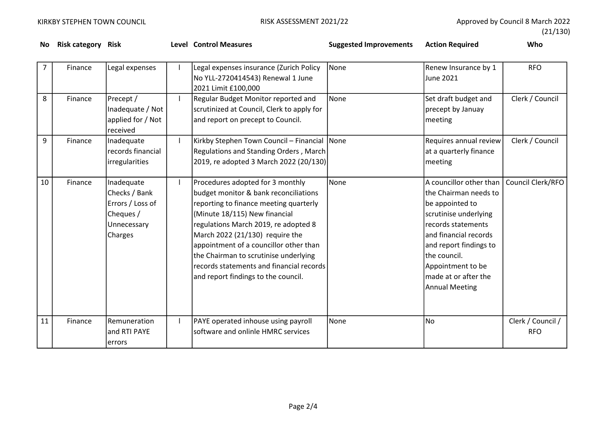No Risk category Risk **Reading Level Control Measures** Control Suggested Improvements Action Required Moore and Who

|  | (21/130) |
|--|----------|
|--|----------|

| 7  | Finance | Legal expenses                                                                         | Legal expenses insurance (Zurich Policy<br>No YLL-2720414543) Renewal 1 June<br>2021 Limit £100,000                                                                                                                                                                                                                                                                                                   | None        | Renew Insurance by 1<br>June 2021                                                                                                                                                                                                                           | <b>RFO</b>                      |
|----|---------|----------------------------------------------------------------------------------------|-------------------------------------------------------------------------------------------------------------------------------------------------------------------------------------------------------------------------------------------------------------------------------------------------------------------------------------------------------------------------------------------------------|-------------|-------------------------------------------------------------------------------------------------------------------------------------------------------------------------------------------------------------------------------------------------------------|---------------------------------|
| 8  | Finance | Precept /<br>Inadequate / Not<br>applied for / Not<br>received                         | Regular Budget Monitor reported and<br>scrutinized at Council, Clerk to apply for<br>and report on precept to Council.                                                                                                                                                                                                                                                                                | None        | Set draft budget and<br>precept by Januay<br>meeting                                                                                                                                                                                                        | Clerk / Council                 |
| 9  | Finance | Inadequate<br>records financial<br>irregularities                                      | Kirkby Stephen Town Council - Financial<br>Regulations and Standing Orders, March<br>2019, re adopted 3 March 2022 (20/130)                                                                                                                                                                                                                                                                           | <b>None</b> | Requires annual review<br>at a quarterly finance<br>meeting                                                                                                                                                                                                 | Clerk / Council                 |
| 10 | Finance | Inadequate<br>Checks / Bank<br>Errors / Loss of<br>Cheques /<br>Unnecessary<br>Charges | Procedures adopted for 3 monthly<br>budget monitor & bank reconciliations<br>reporting to finance meeting quarterly<br>(Minute 18/115) New financial<br>regulations March 2019, re adopted 8<br>March 2022 (21/130) require the<br>appointment of a councillor other than<br>the Chairman to scrutinise underlying<br>records statements and financial records<br>and report findings to the council. | None        | A councillor other than<br>the Chairman needs to<br>be appointed to<br>scrutinise underlying<br>records statements<br>and financial records<br>and report findings to<br>the council.<br>Appointment to be<br>made at or after the<br><b>Annual Meeting</b> | Council Clerk/RFO               |
| 11 | Finance | Remuneration<br>and RTI PAYE<br>errors                                                 | PAYE operated inhouse using payroll<br>software and onlinle HMRC services                                                                                                                                                                                                                                                                                                                             | None        | <b>No</b>                                                                                                                                                                                                                                                   | Clerk / Council /<br><b>RFO</b> |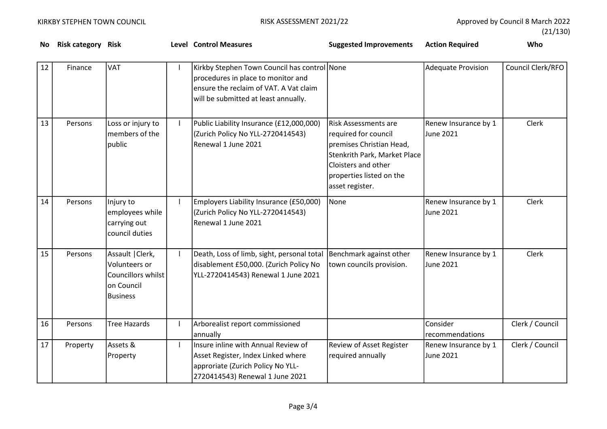(21/130)

| No. | <b>Risk category Risk</b> |                                                                                          | <b>Level Control Measures</b>                                                                                                                                        | <b>Suggested Improvements</b>                                                                                                                                                         | <b>Action Required</b>                   | Who               |
|-----|---------------------------|------------------------------------------------------------------------------------------|----------------------------------------------------------------------------------------------------------------------------------------------------------------------|---------------------------------------------------------------------------------------------------------------------------------------------------------------------------------------|------------------------------------------|-------------------|
| 12  | Finance                   | <b>VAT</b>                                                                               | Kirkby Stephen Town Council has control None<br>procedures in place to monitor and<br>ensure the reclaim of VAT. A Vat claim<br>will be submitted at least annually. |                                                                                                                                                                                       | <b>Adequate Provision</b>                | Council Clerk/RFO |
| 13  | Persons                   | Loss or injury to<br>members of the<br>public                                            | Public Liability Insurance (£12,000,000)<br>(Zurich Policy No YLL-2720414543)<br>Renewal 1 June 2021                                                                 | <b>Risk Assessments are</b><br>required for council<br>premises Christian Head,<br>Stenkrith Park, Market Place<br>Cloisters and other<br>properties listed on the<br>asset register. | Renew Insurance by 1<br><b>June 2021</b> | <b>Clerk</b>      |
| 14  | Persons                   | Injury to<br>employees while<br>carrying out<br>council duties                           | Employers Liability Insurance (£50,000)<br>(Zurich Policy No YLL-2720414543)<br>Renewal 1 June 2021                                                                  | <b>None</b>                                                                                                                                                                           | Renew Insurance by 1<br>June 2021        | Clerk             |
| 15  | Persons                   | Assault   Clerk,<br>Volunteers or<br>Councillors whilst<br>on Council<br><b>Business</b> | Death, Loss of limb, sight, personal total<br>disablement £50,000. (Zurich Policy No<br>YLL-2720414543) Renewal 1 June 2021                                          | Benchmark against other<br>town councils provision.                                                                                                                                   | Renew Insurance by 1<br>June 2021        | Clerk             |
| 16  | Persons                   | <b>Tree Hazards</b>                                                                      | Arborealist report commissioned<br>annually                                                                                                                          |                                                                                                                                                                                       | Consider<br>recommendations              | Clerk / Council   |
| 17  | Property                  | Assets &<br>Property                                                                     | Insure inline with Annual Review of<br>Asset Register, Index Linked where<br>approriate (Zurich Policy No YLL-<br>2720414543) Renewal 1 June 2021                    | <b>Review of Asset Register</b><br>required annually                                                                                                                                  | Renew Insurance by 1<br>June 2021        | Clerk / Council   |